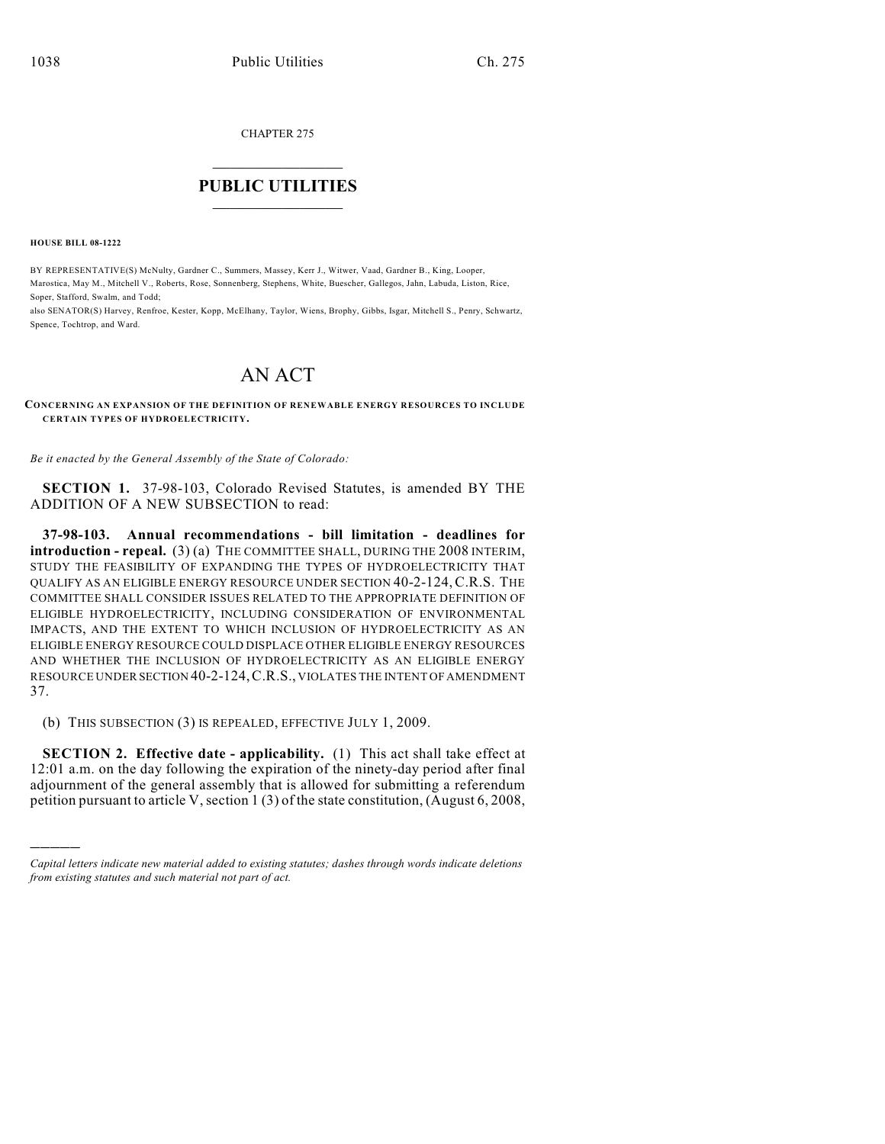CHAPTER 275

## $\overline{\phantom{a}}$  . The set of the set of the set of the set of the set of the set of the set of the set of the set of the set of the set of the set of the set of the set of the set of the set of the set of the set of the set o **PUBLIC UTILITIES** \_\_\_\_\_\_\_\_\_\_\_\_\_\_\_

**HOUSE BILL 08-1222**

)))))

BY REPRESENTATIVE(S) McNulty, Gardner C., Summers, Massey, Kerr J., Witwer, Vaad, Gardner B., King, Looper, Marostica, May M., Mitchell V., Roberts, Rose, Sonnenberg, Stephens, White, Buescher, Gallegos, Jahn, Labuda, Liston, Rice, Soper, Stafford, Swalm, and Todd;

also SENATOR(S) Harvey, Renfroe, Kester, Kopp, McElhany, Taylor, Wiens, Brophy, Gibbs, Isgar, Mitchell S., Penry, Schwartz, Spence, Tochtrop, and Ward.

## AN ACT

**CONCERNING AN EXPANSION OF THE DEFINITION OF RENEWABLE ENERGY RESOURCES TO INCLUDE CERTAIN TYPES OF HYDROELECTRICITY.**

*Be it enacted by the General Assembly of the State of Colorado:*

**SECTION 1.** 37-98-103, Colorado Revised Statutes, is amended BY THE ADDITION OF A NEW SUBSECTION to read:

**37-98-103. Annual recommendations - bill limitation - deadlines for introduction - repeal.** (3) (a) THE COMMITTEE SHALL, DURING THE 2008 INTERIM, STUDY THE FEASIBILITY OF EXPANDING THE TYPES OF HYDROELECTRICITY THAT QUALIFY AS AN ELIGIBLE ENERGY RESOURCE UNDER SECTION 40-2-124,C.R.S. THE COMMITTEE SHALL CONSIDER ISSUES RELATED TO THE APPROPRIATE DEFINITION OF ELIGIBLE HYDROELECTRICITY, INCLUDING CONSIDERATION OF ENVIRONMENTAL IMPACTS, AND THE EXTENT TO WHICH INCLUSION OF HYDROELECTRICITY AS AN ELIGIBLE ENERGY RESOURCE COULD DISPLACE OTHER ELIGIBLE ENERGY RESOURCES AND WHETHER THE INCLUSION OF HYDROELECTRICITY AS AN ELIGIBLE ENERGY RESOURCE UNDER SECTION 40-2-124,C.R.S., VIOLATES THE INTENT OF AMENDMENT 37.

(b) THIS SUBSECTION (3) IS REPEALED, EFFECTIVE JULY 1, 2009.

**SECTION 2. Effective date - applicability.** (1) This act shall take effect at 12:01 a.m. on the day following the expiration of the ninety-day period after final adjournment of the general assembly that is allowed for submitting a referendum petition pursuant to article V, section 1 (3) of the state constitution, (August 6, 2008,

*Capital letters indicate new material added to existing statutes; dashes through words indicate deletions from existing statutes and such material not part of act.*